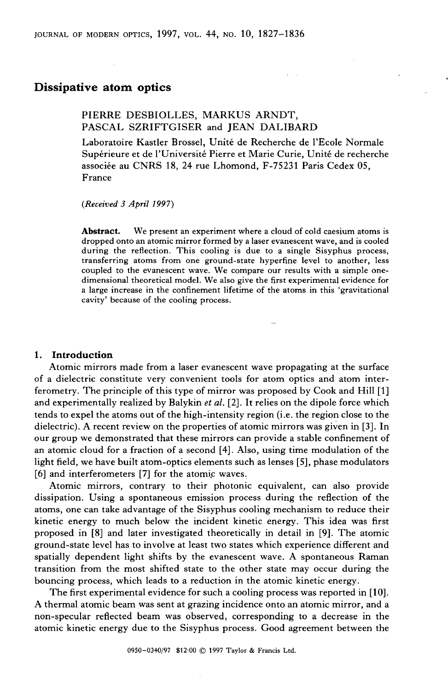# **Dissipative atom optics**

# PIERRE DESBIOLLES, MARKUS ARNDT, PASCAL SZRIFTGISER and JEAN DALIBARD

Laboratoire Kastler Brossel, Unité de Recherche de 1'Ecole Normale Supérieure et de l'Université Pierre et Marie Curie, Unité de recherche associée au CNRS 18, 24 rue Lhomond, F-75231 Paris Cedex 05, France

*(Received 3 April* **1997)** 

**Abstract.** We present an experiment where a cloud of cold caesium atoms is dropped ont0 an atomic mirror formed by a laser evanescent wave, and is cooled during the reflection. This cooling is due to a single Sisyphus process, transferring atoms from one ground-state hyperfine level to another, less coupled to the evanescent wave. We compare our results with a simple onedimensional theoretical model. We also give the first experimental evidence for a large increase in the confinement lifetime of the atoms in this 'gravitational cavity' because of the cooling process.

# **1. Introduction**

Atomic mirrors made from a laser evanescent wave propagating at the surface of a dielectric constitute very convenient tools for atom optics and atom interferometry. The principle of this type of mirror was proposed by Cook and Hill [l] and experimentally realized by Balykin  $et$  al. [2]. It relies on the dipole force which tends to expel the atoms out of the high-intensity region (i.e. the region close to the dielectric). A recent review on the properties of atomic mirrors was given in [3]. In our group we demonstrated that these mirrors can provide a stable confinement of an atomic cloud for a fraction of a second [4]. Also, using time modulation of the light field, we have built atom-optics elements such as lenses [5], phase modulators [6] and interferometers [7] for the atomic waves.

Atomic mirrors, contrary to their photonic equivalent, can also provide dissipation. Using a spontaneous emission process during the reflection of the atoms, one can take advantage of the Sisyphus cooling mechanism to reduce their kinetic energy to much below the incident kinetic energy. This idea was first proposed in [8] and later investigated theoretically in detail in 191. The atomic ground-state level has to involve at least two States which experience different and spatially dependent light shifts by the evanescent wave. A spontaneous Raman transition from the most shifted state to the other state may occur during the bouncing process, which leads to a reduction in the atomic kinetic energy.

The first experimental evidence for such a cooling process was reported in [IO]. A thermal atomic beam was sent at grazing incidence ont0 an atomic mirror, and a non-specular reflected beam was observed, corresponding to a decrease in the atomic kinetic energy due to the Sisyphus process. Good agreement between the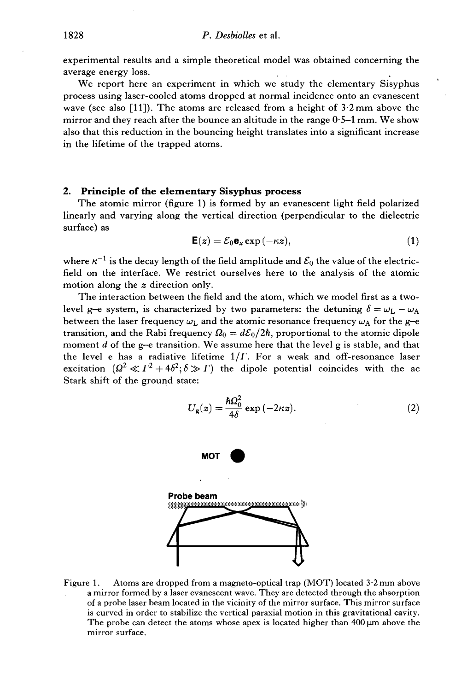experimental results and a simple theoretical model was obtained concerning the average energy loss.

We report here an experiment in which we study the elementary Sisyphus process using laser-cooled atoms dropped at normal incidence ont0 an evanescent wave (see also [11]). The atoms are released from a height of  $3.2 \text{ mm}$  above the mirror and they reach after the bounce an altitude in the range  $0.5-1$  mm. We show also that this reduction in the bouncing height translates into a significant increase in the lifetime of the trapped atoms.

## **2. Principle of the elementary Sisyphus process**

The atomic mirror (figure 1) is formed by an evanescent light field polarized linearly and varying along the vertical direction (perpendicular to the dielectric surface) as

$$
\mathbf{E}(z) = \mathcal{E}_0 \mathbf{e}_x \exp(-\kappa z), \tag{1}
$$

where  $\kappa^{-1}$  is the decay length of the field amplitude and  $\mathcal{E}_0$  the value of the electricfield on the interface. We restrict ourselves here to the analysis of the atomic motion along the *z* direction only.

The interaction between the field and the atom, which we model first as a twolevel g-e system, is characterized by two parameters: the detuning  $\delta = \omega_L - \omega_A$ between the laser frequency  $\omega_L$  and the atomic resonance frequency  $\omega_A$  for the g-e transition, and the Rabi frequency  $\Omega_0 = d\mathcal{E}_0/2\hbar$ , proportional to the atomic dipole moment *d* of the g-e transition. We assume here that the level g is stable, and that the level e has a radiative lifetime  $1/\Gamma$ . For a weak and off-resonance laser excitation  $(\Omega^2 \ll \Gamma^2 + 4\delta^2; \delta \gg \Gamma)$  the dipole potential coincides with the ac Stark shift of the ground state:

$$
U_{g}(z) = \frac{\hbar\Omega_0^2}{4\delta} \exp\left(-2\kappa z\right).
$$
 (2)



Figure 1. Atoms are dropped from a magneto-optical trap (MOT) located  $3.2$  mm above a mirror formed by a laser evanescent wave. They are detected through the absorption of a probe laser beam located in the vicinity of the mirror surface. This mirror surface is curved in order to stabilize the vertical paraxial motion in this gravitational cavity. The probe can detect the atoms whose apex is located higher than  $400 \mu m$  above the mirror surface.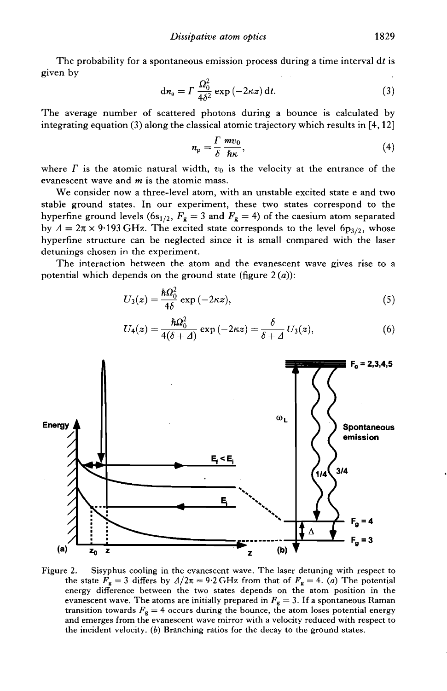The probability for a spontaneous emission process during a time interval dt is<br>
en by<br>  $d n_a = \Gamma \frac{\Omega_0^2}{4\delta^2} \exp(-2\kappa z) dt.$  (3) given by

$$
dn_a = \Gamma \frac{\Omega_0^2}{4\delta^2} \exp\left(-2\kappa z\right) dt. \tag{3}
$$

The average number of scattered photons during a bounce is calculated by integrating equation  $(3)$  along the classical atomic trajectory which results in  $[4,12]$ 

$$
n_{\rm p} = \frac{\Gamma}{\delta} \frac{m v_0}{\hbar \kappa}, \qquad (4)
$$

where  $\Gamma$  is the atomic natural width,  $v_0$  is the velocity at the entrance of the evanescent wave and m is the atomic mass.

We consider now a three-level atom, with an unstable excited state e and two stable ground states. In Our experiment, these two states correspond to the hyperfine ground levels (6s<sub>1/2</sub>,  $F_g = 3$  and  $F_g = 4$ ) of the caesium atom separated by  $\Delta = 2\pi \times 9.193$  GHz. The excited state corresponds to the level 6p<sub>3/2</sub>, whose hyperfine structure can be neglected since it is small compared with the laser detunings chosen in the experiment.

The interaction between the atom and the evanescent wave gives rise to a ential which depends on the ground state (figure 2(*a*)):<br>  $U_3(z) = \frac{\hbar \Omega_0^2}{4\delta} \exp(-2\kappa z),$  (5) potential which depends on the ground state (figure  $2(a)$ ):

$$
U_3(z) = \frac{\hbar \Omega_0^2}{4\delta} \exp(-2\kappa z), \tag{5}
$$

The current line from the evanescent wave gives rise to a  
pends on the ground state (figure 2(*a*)):  

$$
U_3(z) = \frac{\hbar \Omega_0^2}{4\delta} \exp(-2\kappa z),
$$
(5)  

$$
U_4(z) = \frac{\hbar \Omega_0^2}{4(\delta + \Delta)} \exp(-2\kappa z) = \frac{\delta}{\delta + \Delta} U_3(z),
$$
(6)



Figure 2. Sisyphus cooling in the evanescent wave. The laser detuning with respect to the state  $F_g = 3$  differs by  $A/2\pi = 9.2$  GHz from that of  $F_g = 4$ . *(a)* The potential energy difference between the two states depends on the atom position in the evanescent wave. The atoms are initially prepared in  $F_g = 3$ . If a spontaneous Raman transition towards  $F_g = 4$  occurs during the bounce, the atom loses potential energy and emerges from the evanescent wave mirror with a velocity reduced with respect to the incident velocity. (b) Branching ratios for the decay to the ground states.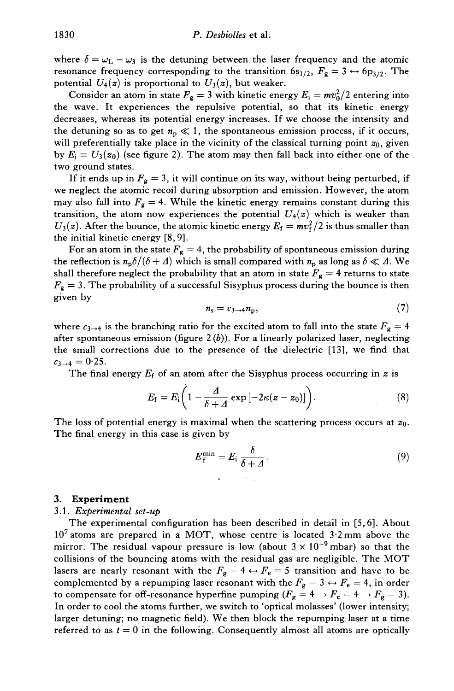where  $\delta = \omega_L - \omega_3$  is the detuning between the laser frequency and the atomic resonance frequency corresponding to the transition  $6s_{1/2}$ ,  $F_g = 3 \leftrightarrow 6p_{3/2}$ . The potential  $U_4(z)$  is proportional to  $U_3(z)$ , but weaker.

Consider an atom in state  $F_g = 3$  with kinetic energy  $E_i = mv_0^2/2$  entering into the wave. It experiences the repulsive potential, so that its kinetic energy decreases, whereas its potential energy increases. If we choose the intensity and the detuning so as to get  $n_p \ll 1$ , the spontaneous emission process, if it occurs, will preferentially take place in the vicinity of the classical turning point  $z_0$ , given by  $E_i = U_3(z_0)$  (see figure 2). The atom may then fall back into either one of the two ground states.

If it ends up in  $F_g = 3$ , it will continue on its way, without being perturbed, if we neglect the atomic recoil during absorption and emission. However, the atom may also fall into  $F_g = 4$ . While the kinetic energy remains constant during this transition, the atom now experiences the potential  $U_4(z)$  which is weaker than  $U_3(z)$ . After the bounce, the atomic kinetic energy  $E_f = mv_f^2/2$  is thus smaller than the initial kinetic energy [8,9].

For an atom in the state  $F_g = 4$ , the probability of spontaneous emission during the reflection is  $n_p\delta/(\delta + \Delta)$  which is small compared with  $n_p$  as long as  $\delta \ll \Delta$ . We shall therefore neglect the probability that an atom in state  $F_g = 4$  returns to state  $F_g = 3$ . The probability of a successful Sisyphus process during the bounce is then given by

$$
n_{\rm s}=c_{3\rightarrow 4}n_{\rm p},\qquad \qquad (7)
$$

where  $c_{3\to 4}$  is the branching ratio for the excited atom to fall into the state  $F_g = 4$ after spontaneous emission (figure  $2(b)$ ). For a linearly polarized laser, neglecting the small corrections due to the presence of the dielectric [13], we find that  $c_{3\to 4} = 0.25$ .

The final energy  $E_f$  of an atom after the Sisyphus process occurring in z is

$$
E_{\rm f}=E_{\rm i}\bigg(1-\frac{A}{\delta+A}\exp\left[-2\kappa(z-z_0)\right]\bigg). \hspace{1.5cm} (8)
$$

The loss of potential energy is maximal when the scattering process occurs at  $z_0$ . The final energy in this case is given by

$$
E_{\rm f}^{\rm min} = E_{\rm i} \frac{\delta}{\delta + \varDelta}.
$$
 (9)

# 3. Experiment

## 3 .l. Experimental set-up

The experimental configuration has been described in detail in [5,6]. About  $10<sup>7</sup>$  atoms are prepared in a MOT, whose centre is located  $3.2$  mm above the mirror. The residual vapour pressure is low (about  $3 \times 10^{-9}$  mbar) so that the collisions of the bouncing atoms with the residual gas are negligible. The MOT lasers are nearly resonant with the  $F_g = 4 \leftrightarrow F_e = 5$  transition and have to be complemented by a repumping laser resonant with the  $F_g = 3 \leftrightarrow F_e = 4$ , in order to compensate for off-resonance hyperfine pumping  $(F_g = 4 \rightarrow F_e = 4 \rightarrow F_g = 3)$ . In order to cool the atoms further, we switch to 'optical molasses' (lower intensity; larger detuning; no magnetic field). We then block the repumping laser at a time referred to as  $t = 0$  in the following. Consequently almost all atoms are optically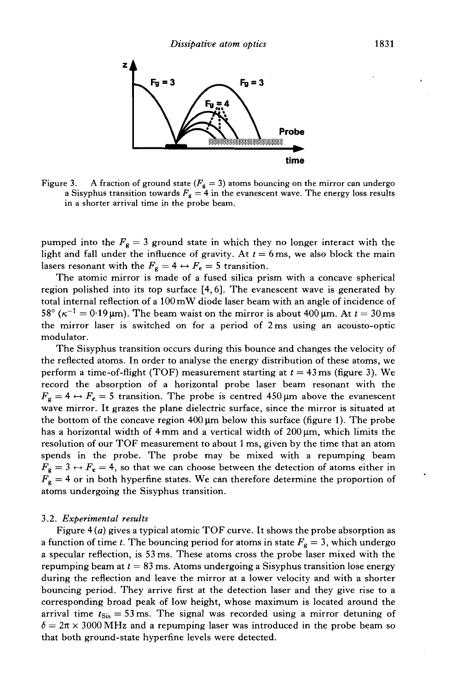

Figure 3. A fraction of ground state  $(F_g = 3)$  atoms bouncing on the mirror can undergo a Sisyphus transition towards  $F_g = 4$  in the evanescent wave. The energy loss results in a shorter arrival time in the probe beam.

pumped into the  $F_g = 3$  ground state in which they no longer interact with the light and fall under the influence of gravity. At  $t = 6$  ms, we also block the main lasers resonant with the  $F_g = 4 \leftrightarrow F_e = 5$  transition.

The atomic mirror is made of a fused silica prism with a concave spherical region polished into its top surface [4,6]. The evanescent wave is generated by total interna1 reflection of a 100 mW diode laser beam with an angle of incidence of 58° ( $\kappa^{-1} = 0.19 \,\text{\mu m}$ ). The beam waist on the mirror is about 400  $\mu$ m. At  $t = 30 \,\text{ms}$ the mirror laser is switched on for a period of 2ms using an acousto-optic modulator.

The Sisyphus transition occurs during this bounce and changes the velocity of the reflected atoms. In order to analyse the energy distribution of these atoms, we perform a time-of-flight (TOF) measurement starting at  $t = 43$  ms (figure 3). We record the absorption of a horizontal probe laser beam resonant with the  $F_g = 4 \leftrightarrow F_e = 5$  transition. The probe is centred 450 µm above the evanescent wave mirror. It grazes the plane dielectric surface, since the mirror is situated at the bottom of the concave region  $400 \mu m$  below this surface (figure 1). The probe has a horizontal width of  $4 \text{ mm}$  and a vertical width of  $200 \mu \text{m}$ , which limits the resolution of our TOF measurement to about 1 ms, given by the time that an atom spends in the probe. The probe may be mixed with a repumping beam  $F_g = 3 \leftrightarrow F_e = 4$ , so that we can choose between the detection of atoms either in  $F_g = 4$  or in both hyperfine states. We can therefore determine the proportion of atoms undergoing the Sisyphus transition.

#### 3.2. *Experimental results*

Figure 4 *(a)* gives a typical atomic TOF curve. It shows the probe absorption as a function of time *t*. The bouncing period for atoms in state  $F<sub>g</sub> = 3$ , which undergo a specular reflection, is 53 ms. These atoms cross the probe laser mixed with the repumping beam at  $t = 83$  ms. Atoms undergoing a Sisyphus transition lose energy during the reflection and leave the mirror at a lower velocity and with a shorter bouncing period. They arrive first at the detection laser and they give rise to a corresponding broad peak of low height, whose maximum is located around the arrival time  $t_{\text{Sis}} = 53 \text{ ms}$ . The signal was recorded using a mirror detuning of  $\delta = 2\pi \times 3000$  MHz and a repumping laser was introduced in the probe beam so that both ground-state hyperfine levels were detected.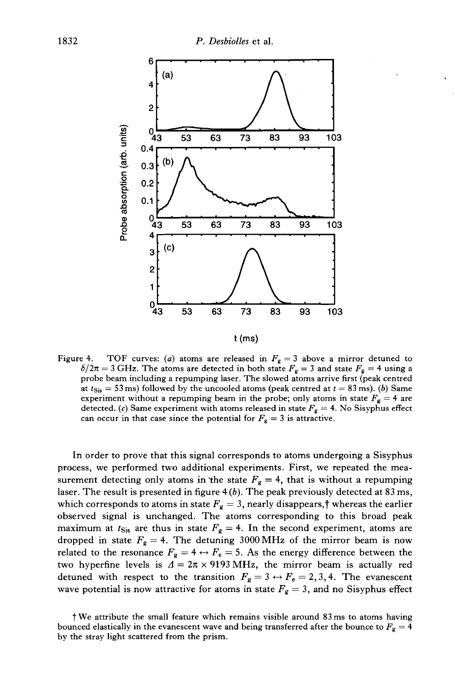

Figure 4. TOF curves: (*a*) atoms are released in  $F_g = 3$  above a mirror detuned to  $\delta/2\pi = 3$  GHz. The atoms are detected in both state  $F_g = 3$  and state  $F_g = 4$  using a probe beam including a repumping laser. The slowed atoms arrive first (peak centred at  $t_{\text{Sis}} = 53 \text{ ms}$ ) followed by the uncooled atoms (peak centred at  $t = 83 \text{ ms}$ ). (b) Same experiment without a repumping beam in the probe; only atoms in state  $F_g = 4$  are detected. (c) Same experiment with atoms released in state  $F_g = 4$ . No Sisyphus effect can occur in that case since the potential for  $F_g = 3$  is attractive.

In order to prove that this signal corresponds to atoms undergoing a Sisyphus process, we performed two additional experiments. First, we repeated the measurement detecting only atoms in the state  $F_g = 4$ , that is without a repumping laser. The result is presented in figure 4 *(b).* The peak previously detected at 83 ms, which corresponds to atoms in state  $F_g = 3$ , nearly disappears,<sup>†</sup> whereas the earlier observed signal is unchanged. The atoms corresponding to this broad peak maximum at  $t_{\text{Sis}}$  are thus in state  $F_g = 4$ . In the second experiment, atoms are dropped in state  $F_g = 4$ . The detuning 3000 MHz of the mirror beam is now related to the resonance  $F_g = 4 \leftrightarrow F_e = 5$ . As the energy difference between the two hyperfine levels is  $\Delta = 2\pi \times 9193 \text{ MHz}$ , the mirror beam is actually red detuned with respect to the transition  $F_g = 3 \leftrightarrow F_e = 2, 3, 4$ . The evanescent wave potential is now attractive for atoms in state  $F_g = 3$ , and no Sisyphus effect

t We attribute the small feature which remains visible around 83ms to atoms having bounced elastically in the evanescent wave and being transferred after the bounce to  $F_g = 4$ by the stray light scattered from the prism.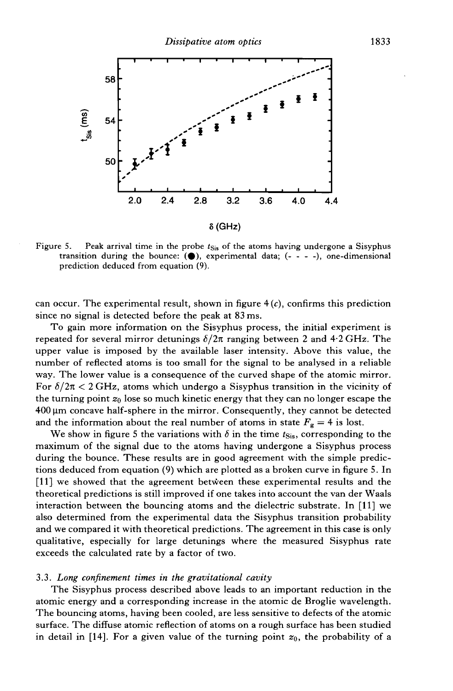

Figure 5. Peak arrival time in the probe  $t_{\text{Sis}}$  of the atoms having undergone a Sisyphus transition during the bounce: **(e),** experimental data; (- - - -), one-dimensional prediction deduced from equation (9).

can occur. The experimental result, shown in figure 4 *(c),* confirms this prediction since no signal is detected before the peak at **83** ms.

To gain more information on the Sisyphus process, the initial experiment is repeated for several mirror detunings  $\delta/2\pi$  ranging between 2 and 4.2 GHz. The upper value is imposed by the available laser intensity. Above this value, the number of reflected atoms is too small for the signal to be analysed in a reliable way. The lower value is a consequence of the curved shape of the atomic mirror. For  $\delta/2\pi < 2$  GHz, atoms which undergo a Sisyphus transition in the vicinity of the turning point  $z_0$  lose so much kinetic energy that they can no longer escape the  $400 \mu m$  concave half-sphere in the mirror. Consequently, they cannot be detected and the information about the real number of atoms in state  $F_g = 4$  is lost.

We show in figure 5 the variations with  $\delta$  in the time  $t_{\text{Sis}}$ , corresponding to the maximum of the signal due to the atoms having undergone a Sisyphus process during the bounce. These results are in good agreement with the simple predictions deduced from equation (9) which are plotted as a broken curve in figure 5. In [Il] we showed that the agreement between these experimental results and the theoretical predictions is still improved if one takes into account the van der Waals interaction between the bouncing atoms and the dielectric substrate. In [Il] we also determined from the experimental data the Sisyphus transition probability and we compared it with theoretical predictions. The agreement in this case is only qualitative, especially for large detunings where the measured Sisyphus rate exceeds the calculated rate by a factor of two.

#### **3.3.** *Long confinement times in the gravitational cavity*

The Sisyphus process described above leads to an important reduction in the atomic energy and a corresponding increase in the atomic de Broglie wavelength. The bouncing atoms, having been cooled, are less sensitive to defects of the atomic surface. The diffuse atomic reflection of atoms on a rough surface has been studied in detail in [14]. For a given value of the turning point  $z_0$ , the probability of a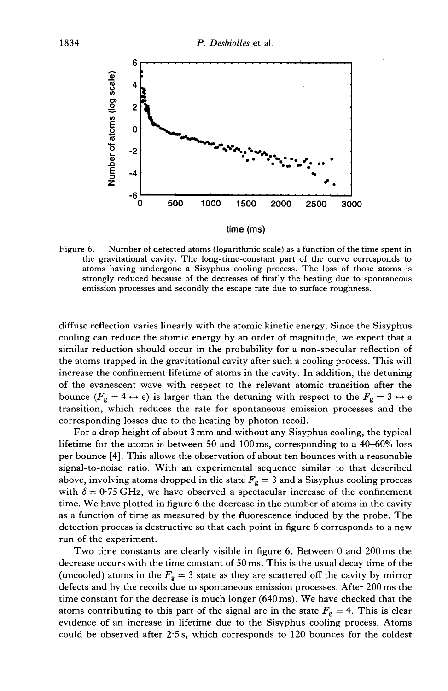

Figure 6. Number of detected atoms (logarithmic scale) as a function of the time spent in the gravitational cavity. The long-time-constant part of the curve corresponds to atoms having undergone a Sisyphus cooling process. The loss of those atoms is strongly reduced because of the decreases of firstly the heating due to spontaneous emission processes and secondly the escape rate due to surface roughness.

diffuse reflection varies linearly with the atomic kinetic energy. Since the Sisyphus cooling can reduce the atomic energy by an order of magnitude, we expect that a similar reduction should occur in the probability for a non-specular reflection of the atoms trapped in the gravitational cavity after such a cooling process. This will increase the confinement lifetime of atoms in the cavity. In addition, the detuning of the evanescent wave with respect to the relevant atomic transition after the bounce  $(F_g = 4 \leftrightarrow e)$  is larger than the detuning with respect to the  $F_g = 3 \leftrightarrow e$ transition, which reduces the rate for spontaneous emission processes and the corresponding losses due to the heating by photon recoil.

For a drop height of about 3 mm and without any Sisyphus cooling, the typical lifetime for the atoms is between 50 and 100ms, corresponding to a 40-60% loss per bounce [4]. This allows the observation of about ten bounces with a reasonable signal-to-noise ratio. With an experimental sequence similar to that described above, involving atoms dropped in the state  $F_g = 3$  and a Sisyphus cooling process with  $\delta = 0.75$  GHz, we have observed a spectacular increase of the confinement time. We have plotted in figure 6 the decrease in the number of atoms in the cavity as a function of time as measured by the fluorescence induced by the probe. The detection process is destructive so that each point in figure 6 corresponds to a new run of the experiment.

Two time constants are clearly visible in figure 6. Between O and 200ms the decrease occurs with the time constant of 50 ms. This is the usual decay time of the (uncooled) atoms in the  $F_g = 3$  state as they are scattered off the cavity by mirror defects and by the recoils due to spontaneous emission processes. After 200 ms the time constant for the decrease is much longer (640ms). We have checked that the atoms contributing to this part of the signal are in the state  $F_g = 4$ . This is clear evidence of an increase in lifetime due to the Sisyphus cooling process. Atoms could be observed after 2.5 s, which corresponds to 120 bounces for the coldest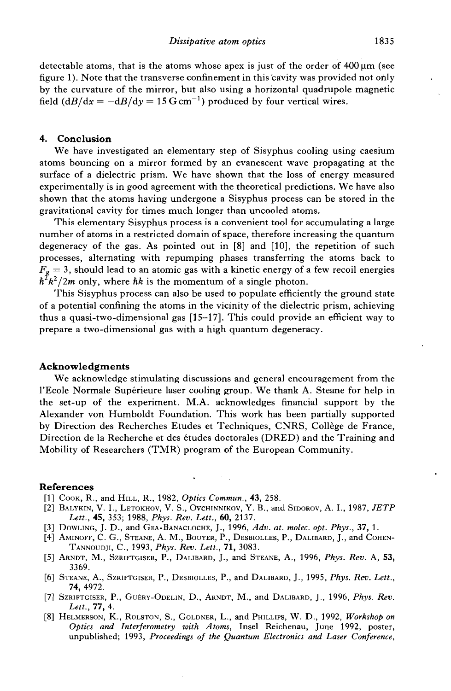detectable atoms, that is the atoms whose apex is just of the order of  $400 \mu m$  (see figure 1). Note that the transverse confinement in this cavity was provided not ohly by the curvature of the mirror, but also using a horizontal quadrupole magnetic field  $(dB/dx = -dB/dy = 15$  G cm<sup>-1</sup>) produced by four vertical wires.

# **4. Conclusion**

We have investigated an elementary step of Sisyphus cooling using caesium atoms bouncing on a mirror formed by an evanescent wave propagating at the surface of a dielectric prism. We have shown that the loss of energy measured experimentally is in good agreement with the theoretical predictions. We have also shown that the atoms having undergone a Sisyphus process can be stored in the gravitational cavity for times much longer than uncooled atoms.

This elementary Sisyphus process is a convenient tool for accumulating a large number of atoms in a restricted domain of space, therefore increasing the quantum degeneracy of the gas. As pointed out in [8] and [IO], the repetition of such processes, alternating with repumping phases transferring the atoms back to  $F_g = 3$ , should lead to an atomic gas with a kinetic energy of a few recoil energies  $\hbar^2 k^2/2m$  only, where  $\hbar k$  is the momentum of a single photon.

This Sisyphus process can also be used to populate efficiently the ground state of a potential confining the atoms in the vicinity of the dielectric prism, achieving thus a quasi-two-dimensional gas [15-171. This could provide an efficient way to prepare a two-dimensional gas with a high quantum degeneracy.

### **Acknowledgments**

We acknowledge stimulating discussions and general encouragement from the 1'Ecole Normale Supérieure laser cooling group. We thank A. Steane for help in the set-up of the experiment. M.A. acknowledges financial support by the Alexander von Humboldt Foundation. This work has been partially supported by Direction des Recherches Etudes et Techniques, CNRS, Collège de France, Direction de la Recherche et des études doctorales (DRED) and the Training and Mobility of Researchers (TMR) program of the European Community.

## **References**

- [l] COOK, **R.,** and HILL, **R.,** 1982, *Optics Commun.,* 43, 258.
- [2] BALYKIN, V. I., LETOKHOV, V. S., OVCHINNIKOV, Y. B.and SIDOROV, A. I., 1987, *JETP Lett.,* 45, 353; 1988, *Phys. Rev. Lett., 60,* 2137.
- [3] DOWLING, J. D., and GEA-BANACLOCHE, J., 1996, *Adv. ut. molec. opt. Phys.,* 37, 1.
- [4] AMINOFF, C. G., STEANE, A. M., BOUYER, P., DESBIOLLES, P., DALIBARD, J., and COHEN-TANNOUDJI, C., 1993, *Phys. Rev. Lett.,* 71, 3083.
- [5] ARNDT, M., SZRIFTGISER, P., DALIBARD, J., and STEANE, A., 1996, *Phys. Rev.* A, 53, 3369.
- [6] STEANE, A., SZRIFTGISER, P., DESBIOLLES, P., and DALIBARD, J., 1995, *Phys. Rev. Lett.,*  74, 4972.
- [7] SZRIFTGISER, P., GUERY-ODELIN, D., ARNDT, M., and DALIBARD, J., 1996, *Phys. Rev. Lett..* 77. 4.
- [8] HELMERSON; K., ROLSTON, S., GOLDNER, L.and PHILLIPS, W. D., 1992, *Workshop on Optics and Interferometry with Atoms,* Insel Reichenau, June 1992, poster, unpublished; 1993, *Proceedings of the Quantum Electronics and Laser Conference,*